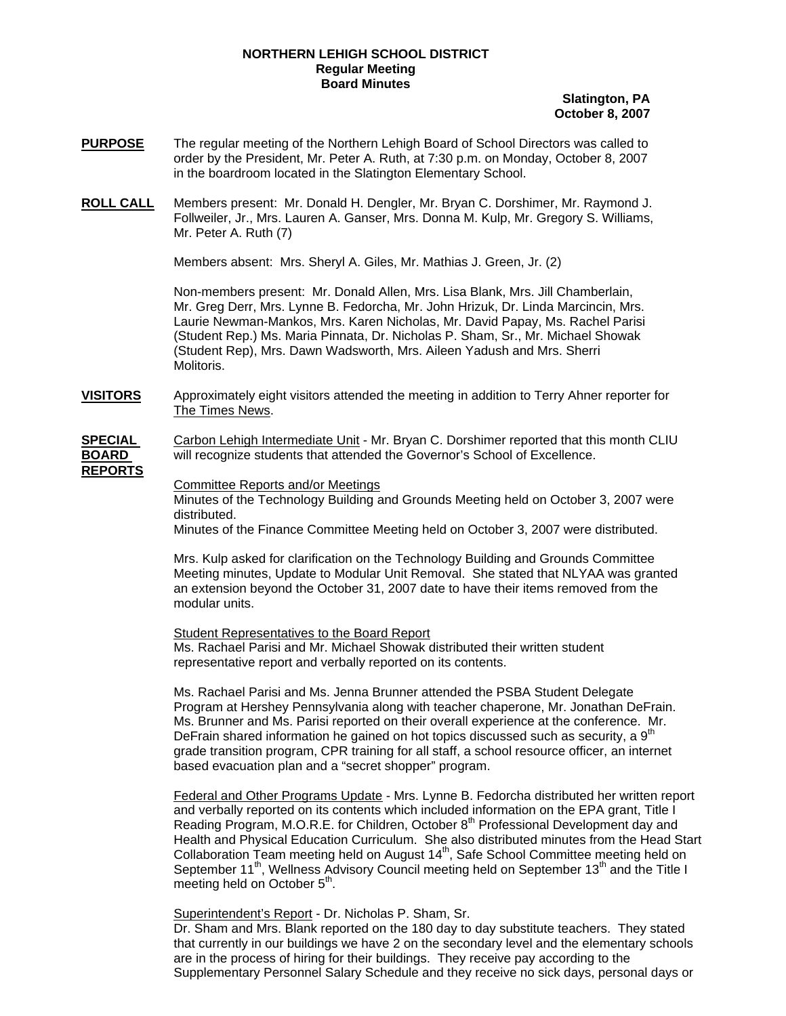## **NORTHERN LEHIGH SCHOOL DISTRICT Regular Meeting Board Minutes**

## **Slatington, PA October 8, 2007**

- **PURPOSE** The regular meeting of the Northern Lehigh Board of School Directors was called to order by the President, Mr. Peter A. Ruth, at 7:30 p.m. on Monday, October 8, 2007 in the boardroom located in the Slatington Elementary School.
- **ROLL CALL** Members present: Mr. Donald H. Dengler, Mr. Bryan C. Dorshimer, Mr. Raymond J. Follweiler, Jr., Mrs. Lauren A. Ganser, Mrs. Donna M. Kulp, Mr. Gregory S. Williams, Mr. Peter A. Ruth (7)

Members absent: Mrs. Sheryl A. Giles, Mr. Mathias J. Green, Jr. (2)

Non-members present: Mr. Donald Allen, Mrs. Lisa Blank, Mrs. Jill Chamberlain, Mr. Greg Derr, Mrs. Lynne B. Fedorcha, Mr. John Hrizuk, Dr. Linda Marcincin, Mrs. Laurie Newman-Mankos, Mrs. Karen Nicholas, Mr. David Papay, Ms. Rachel Parisi (Student Rep.) Ms. Maria Pinnata, Dr. Nicholas P. Sham, Sr., Mr. Michael Showak (Student Rep), Mrs. Dawn Wadsworth, Mrs. Aileen Yadush and Mrs. Sherri Molitoris.

**VISITORS** Approximately eight visitors attended the meeting in addition to Terry Ahner reporter for The Times News.

**SPECIAL** Carbon Lehigh Intermediate Unit - Mr. Bryan C. Dorshimer reported that this month CLIU **BOARD** will recognize students that attended the Governor's School of Excellence.

## **REPORTS**

Committee Reports and/or Meetings

Minutes of the Technology Building and Grounds Meeting held on October 3, 2007 were distributed.

Minutes of the Finance Committee Meeting held on October 3, 2007 were distributed.

Mrs. Kulp asked for clarification on the Technology Building and Grounds Committee Meeting minutes, Update to Modular Unit Removal. She stated that NLYAA was granted an extension beyond the October 31, 2007 date to have their items removed from the modular units.

Student Representatives to the Board Report Ms. Rachael Parisi and Mr. Michael Showak distributed their written student representative report and verbally reported on its contents.

Ms. Rachael Parisi and Ms. Jenna Brunner attended the PSBA Student Delegate Program at Hershey Pennsylvania along with teacher chaperone, Mr. Jonathan DeFrain. Ms. Brunner and Ms. Parisi reported on their overall experience at the conference. Mr. DeFrain shared information he gained on hot topics discussed such as security, a  $9<sup>th</sup>$ grade transition program, CPR training for all staff, a school resource officer, an internet based evacuation plan and a "secret shopper" program.

 Federal and Other Programs Update - Mrs. Lynne B. Fedorcha distributed her written report and verbally reported on its contents which included information on the EPA grant, Title I Reading Program, M.O.R.E. for Children, October 8<sup>th</sup> Professional Development day and Health and Physical Education Curriculum. She also distributed minutes from the Head Start Collaboration Team meeting held on August 14<sup>th</sup>, Safe School Committee meeting held on September 11<sup>th</sup>, Wellness Advisory Council meeting held on September 13<sup>th</sup> and the Title I meeting held on October  $5<sup>th</sup>$ .

Superintendent's Report - Dr. Nicholas P. Sham, Sr.

 Dr. Sham and Mrs. Blank reported on the 180 day to day substitute teachers. They stated that currently in our buildings we have 2 on the secondary level and the elementary schools are in the process of hiring for their buildings. They receive pay according to the Supplementary Personnel Salary Schedule and they receive no sick days, personal days or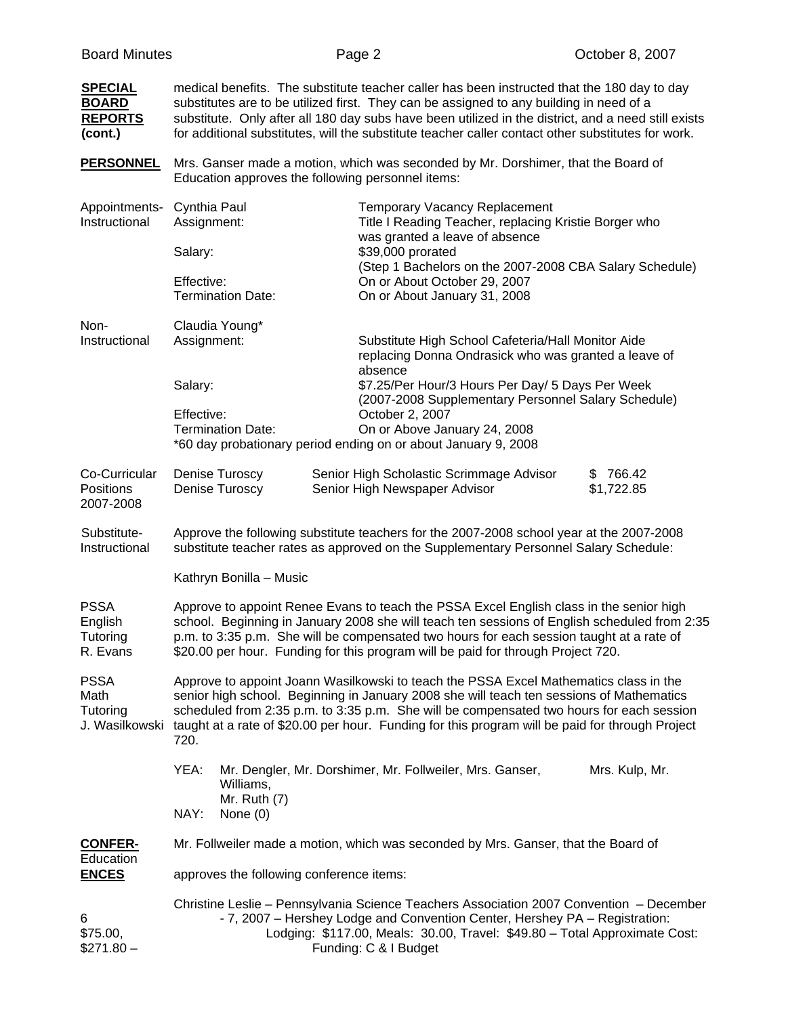| <b>SPECIAL</b><br><b>BOARD</b><br><b>REPORTS</b><br>(cont.) | medical benefits. The substitute teacher caller has been instructed that the 180 day to day<br>substitutes are to be utilized first. They can be assigned to any building in need of a<br>substitute. Only after all 180 day subs have been utilized in the district, and a need still exists<br>for additional substitutes, will the substitute teacher caller contact other substitutes for work.     |                                                                                                                                                                                                                                                                               |  |  |  |  |
|-------------------------------------------------------------|---------------------------------------------------------------------------------------------------------------------------------------------------------------------------------------------------------------------------------------------------------------------------------------------------------------------------------------------------------------------------------------------------------|-------------------------------------------------------------------------------------------------------------------------------------------------------------------------------------------------------------------------------------------------------------------------------|--|--|--|--|
| <b>PERSONNEL</b>                                            |                                                                                                                                                                                                                                                                                                                                                                                                         | Mrs. Ganser made a motion, which was seconded by Mr. Dorshimer, that the Board of<br>Education approves the following personnel items:                                                                                                                                        |  |  |  |  |
| Appointments-<br>Instructional                              | Cynthia Paul<br>Assignment:                                                                                                                                                                                                                                                                                                                                                                             | <b>Temporary Vacancy Replacement</b><br>Title I Reading Teacher, replacing Kristie Borger who<br>was granted a leave of absence                                                                                                                                               |  |  |  |  |
|                                                             | Salary:                                                                                                                                                                                                                                                                                                                                                                                                 | \$39,000 prorated                                                                                                                                                                                                                                                             |  |  |  |  |
|                                                             | Effective:<br><b>Termination Date:</b>                                                                                                                                                                                                                                                                                                                                                                  | (Step 1 Bachelors on the 2007-2008 CBA Salary Schedule)<br>On or About October 29, 2007<br>On or About January 31, 2008                                                                                                                                                       |  |  |  |  |
| Non-<br>Instructional                                       | Claudia Young*<br>Assignment:                                                                                                                                                                                                                                                                                                                                                                           | Substitute High School Cafeteria/Hall Monitor Aide<br>replacing Donna Ondrasick who was granted a leave of                                                                                                                                                                    |  |  |  |  |
|                                                             | Salary:                                                                                                                                                                                                                                                                                                                                                                                                 | absence<br>\$7.25/Per Hour/3 Hours Per Day/ 5 Days Per Week<br>(2007-2008 Supplementary Personnel Salary Schedule)                                                                                                                                                            |  |  |  |  |
|                                                             | Effective:<br><b>Termination Date:</b><br>*60 day probationary period ending on or about January 9, 2008                                                                                                                                                                                                                                                                                                | October 2, 2007<br>On or Above January 24, 2008                                                                                                                                                                                                                               |  |  |  |  |
| Co-Curricular<br><b>Positions</b><br>2007-2008              | Denise Turoscy<br>Denise Turoscy                                                                                                                                                                                                                                                                                                                                                                        | Senior High Scholastic Scrimmage Advisor<br>\$766.42<br>\$1,722.85<br>Senior High Newspaper Advisor                                                                                                                                                                           |  |  |  |  |
| Substitute-<br>Instructional                                | Approve the following substitute teachers for the 2007-2008 school year at the 2007-2008<br>substitute teacher rates as approved on the Supplementary Personnel Salary Schedule:                                                                                                                                                                                                                        |                                                                                                                                                                                                                                                                               |  |  |  |  |
|                                                             | Kathryn Bonilla - Music                                                                                                                                                                                                                                                                                                                                                                                 |                                                                                                                                                                                                                                                                               |  |  |  |  |
| <b>PSSA</b><br>English<br>Tutoring<br>R. Evans              | Approve to appoint Renee Evans to teach the PSSA Excel English class in the senior high<br>school. Beginning in January 2008 she will teach ten sessions of English scheduled from 2:35<br>p.m. to 3:35 p.m. She will be compensated two hours for each session taught at a rate of<br>\$20.00 per hour. Funding for this program will be paid for through Project 720.                                 |                                                                                                                                                                                                                                                                               |  |  |  |  |
| <b>PSSA</b><br>Math<br>Tutoring                             | Approve to appoint Joann Wasilkowski to teach the PSSA Excel Mathematics class in the<br>senior high school. Beginning in January 2008 she will teach ten sessions of Mathematics<br>scheduled from 2:35 p.m. to 3:35 p.m. She will be compensated two hours for each session<br>J. Wasilkowski taught at a rate of \$20.00 per hour. Funding for this program will be paid for through Project<br>720. |                                                                                                                                                                                                                                                                               |  |  |  |  |
|                                                             | YEA:<br>Williams,<br>Mr. Ruth $(7)$<br>NAY:<br>None $(0)$                                                                                                                                                                                                                                                                                                                                               | Mr. Dengler, Mr. Dorshimer, Mr. Follweiler, Mrs. Ganser,<br>Mrs. Kulp, Mr.                                                                                                                                                                                                    |  |  |  |  |
| <b>CONFER-</b>                                              | Mr. Follweiler made a motion, which was seconded by Mrs. Ganser, that the Board of                                                                                                                                                                                                                                                                                                                      |                                                                                                                                                                                                                                                                               |  |  |  |  |
| Education<br><b>ENCES</b>                                   | approves the following conference items:                                                                                                                                                                                                                                                                                                                                                                |                                                                                                                                                                                                                                                                               |  |  |  |  |
| 6<br>\$75.00,<br>$$271.80-$                                 |                                                                                                                                                                                                                                                                                                                                                                                                         | Christine Leslie - Pennsylvania Science Teachers Association 2007 Convention - December<br>- 7, 2007 - Hershey Lodge and Convention Center, Hershey PA - Registration:<br>Lodging: \$117.00, Meals: 30.00, Travel: \$49.80 - Total Approximate Cost:<br>Funding: C & I Budget |  |  |  |  |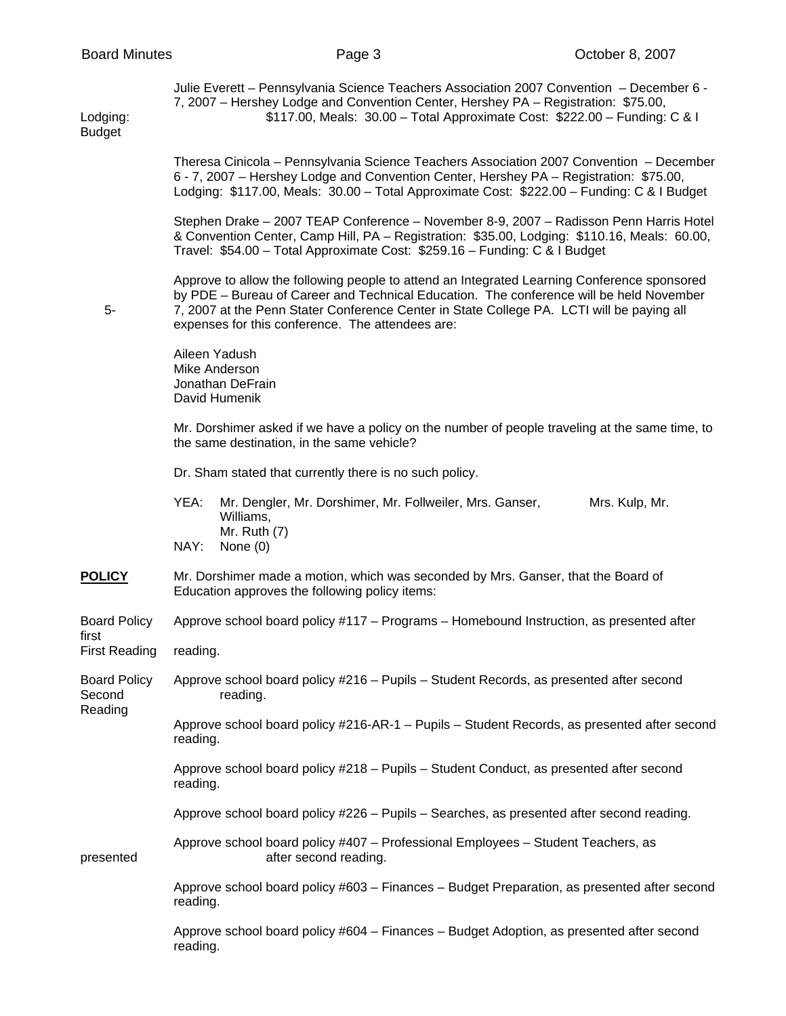Budget

Julie Everett – Pennsylvania Science Teachers Association 2007 Convention – December 6 - 7, 2007 – Hershey Lodge and Convention Center, Hershey PA – Registration: \$75.00, Lodging: \$117.00, Meals: 30.00 – Total Approximate Cost: \$222.00 – Funding: C & I

> Theresa Cinicola – Pennsylvania Science Teachers Association 2007 Convention – December 6 - 7, 2007 – Hershey Lodge and Convention Center, Hershey PA – Registration: \$75.00, Lodging: \$117.00, Meals: 30.00 – Total Approximate Cost: \$222.00 – Funding: C & I Budget

> Stephen Drake – 2007 TEAP Conference – November 8-9, 2007 – Radisson Penn Harris Hotel & Convention Center, Camp Hill, PA – Registration: \$35.00, Lodging: \$110.16, Meals: 60.00, Travel: \$54.00 – Total Approximate Cost: \$259.16 – Funding: C & I Budget

 Approve to allow the following people to attend an Integrated Learning Conference sponsored by PDE – Bureau of Career and Technical Education. The conference will be held November 5- 7, 2007 at the Penn Stater Conference Center in State College PA. LCTI will be paying all expenses for this conference. The attendees are:

> Aileen Yadush Mike Anderson Jonathan DeFrain David Humenik

 Mr. Dorshimer asked if we have a policy on the number of people traveling at the same time, to the same destination, in the same vehicle?

Dr. Sham stated that currently there is no such policy.

| YEA: | Mr. Dengler, Mr. Dorshimer, Mr. Follweiler, Mrs. Ganser, | Mrs. Kulp, Mr. |
|------|----------------------------------------------------------|----------------|
|      | Williams.                                                |                |
|      | Mr. Ruth $(7)$                                           |                |
| NAY: | None (0)                                                 |                |

## **POLICY** Mr. Dorshimer made a motion, which was seconded by Mrs. Ganser, that the Board of Education approves the following policy items:

Board Policy Approve school board policy #117 – Programs – Homebound Instruction, as presented after first

First Reading reading.

Board Policy Approve school board policy #216 – Pupils – Student Records, as presented after second Second reading. Reading

> Approve school board policy #216-AR-1 – Pupils – Student Records, as presented after second reading.

 Approve school board policy #218 – Pupils – Student Conduct, as presented after second reading.

Approve school board policy #226 – Pupils – Searches, as presented after second reading.

 Approve school board policy #407 – Professional Employees – Student Teachers, as presented after second reading.

> Approve school board policy #603 – Finances – Budget Preparation, as presented after second reading.

 Approve school board policy #604 – Finances – Budget Adoption, as presented after second reading.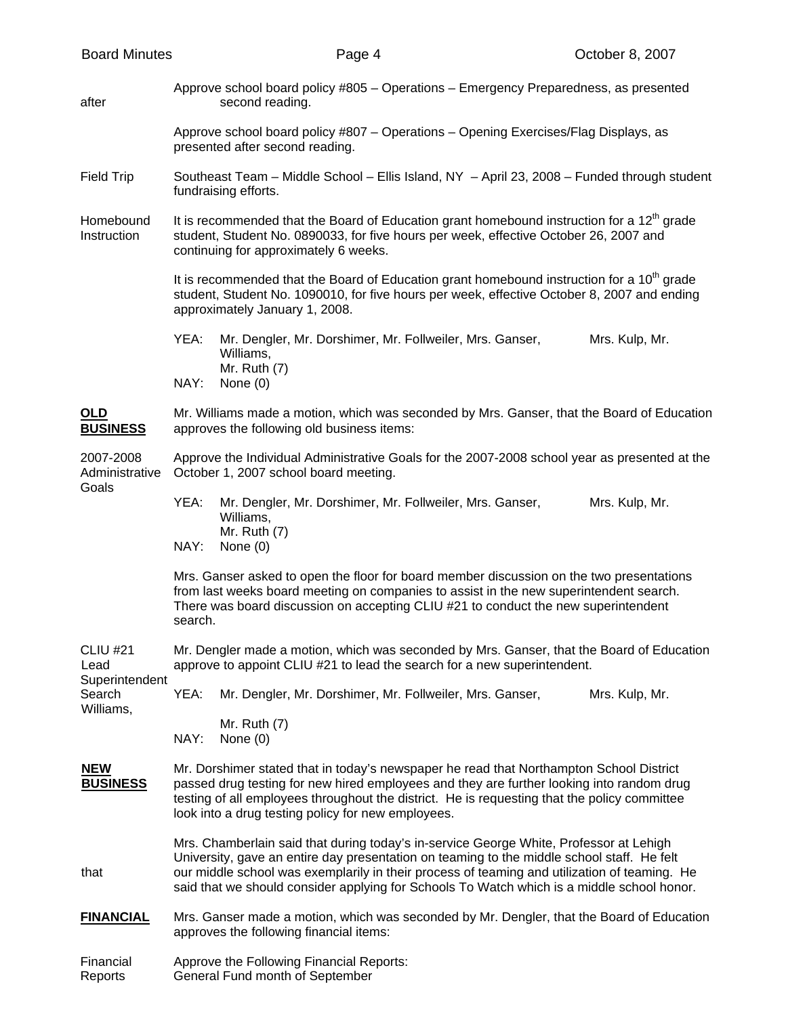| <b>Board Minutes</b>                                             |                                                                                                                                                                                                                                                                                                                                                                                    | Page 4                                                                                                  |  | October 8, 2007 |  |  |  |
|------------------------------------------------------------------|------------------------------------------------------------------------------------------------------------------------------------------------------------------------------------------------------------------------------------------------------------------------------------------------------------------------------------------------------------------------------------|---------------------------------------------------------------------------------------------------------|--|-----------------|--|--|--|
| after                                                            |                                                                                                                                                                                                                                                                                                                                                                                    | Approve school board policy #805 - Operations - Emergency Preparedness, as presented<br>second reading. |  |                 |  |  |  |
|                                                                  | Approve school board policy #807 - Operations - Opening Exercises/Flag Displays, as<br>presented after second reading.                                                                                                                                                                                                                                                             |                                                                                                         |  |                 |  |  |  |
| <b>Field Trip</b>                                                | Southeast Team - Middle School - Ellis Island, NY - April 23, 2008 - Funded through student<br>fundraising efforts.                                                                                                                                                                                                                                                                |                                                                                                         |  |                 |  |  |  |
| Homebound<br>Instruction                                         | It is recommended that the Board of Education grant homebound instruction for a $12th$ grade<br>student, Student No. 0890033, for five hours per week, effective October 26, 2007 and<br>continuing for approximately 6 weeks.                                                                                                                                                     |                                                                                                         |  |                 |  |  |  |
|                                                                  | It is recommended that the Board of Education grant homebound instruction for a 10 <sup>th</sup> grade<br>student, Student No. 1090010, for five hours per week, effective October 8, 2007 and ending<br>approximately January 1, 2008.                                                                                                                                            |                                                                                                         |  |                 |  |  |  |
|                                                                  | YEA:                                                                                                                                                                                                                                                                                                                                                                               | Mr. Dengler, Mr. Dorshimer, Mr. Follweiler, Mrs. Ganser,<br>Williams,<br>Mr. Ruth (7)                   |  | Mrs. Kulp, Mr.  |  |  |  |
|                                                                  | NAY:                                                                                                                                                                                                                                                                                                                                                                               | None $(0)$                                                                                              |  |                 |  |  |  |
| OLD<br><b>BUSINESS</b>                                           | Mr. Williams made a motion, which was seconded by Mrs. Ganser, that the Board of Education<br>approves the following old business items:                                                                                                                                                                                                                                           |                                                                                                         |  |                 |  |  |  |
| 2007-2008<br>Administrative<br>Goals                             | Approve the Individual Administrative Goals for the 2007-2008 school year as presented at the<br>October 1, 2007 school board meeting.                                                                                                                                                                                                                                             |                                                                                                         |  |                 |  |  |  |
|                                                                  | YEA:                                                                                                                                                                                                                                                                                                                                                                               | Mr. Dengler, Mr. Dorshimer, Mr. Follweiler, Mrs. Ganser,<br>Williams,<br>Mr. Ruth $(7)$                 |  | Mrs. Kulp, Mr.  |  |  |  |
|                                                                  | NAY:                                                                                                                                                                                                                                                                                                                                                                               | None $(0)$                                                                                              |  |                 |  |  |  |
|                                                                  | Mrs. Ganser asked to open the floor for board member discussion on the two presentations<br>from last weeks board meeting on companies to assist in the new superintendent search.<br>There was board discussion on accepting CLIU #21 to conduct the new superintendent<br>search.                                                                                                |                                                                                                         |  |                 |  |  |  |
| <b>CLIU #21</b><br>Lead<br>Superintendent<br>Search<br>Williams, | Mr. Dengler made a motion, which was seconded by Mrs. Ganser, that the Board of Education<br>approve to appoint CLIU #21 to lead the search for a new superintendent.                                                                                                                                                                                                              |                                                                                                         |  |                 |  |  |  |
|                                                                  | YEA:                                                                                                                                                                                                                                                                                                                                                                               | Mr. Dengler, Mr. Dorshimer, Mr. Follweiler, Mrs. Ganser,                                                |  | Mrs. Kulp, Mr.  |  |  |  |
|                                                                  | NAY:                                                                                                                                                                                                                                                                                                                                                                               | Mr. Ruth $(7)$<br>None $(0)$                                                                            |  |                 |  |  |  |
| <b>NEW</b><br><b>BUSINESS</b>                                    | Mr. Dorshimer stated that in today's newspaper he read that Northampton School District<br>passed drug testing for new hired employees and they are further looking into random drug<br>testing of all employees throughout the district. He is requesting that the policy committee<br>look into a drug testing policy for new employees.                                         |                                                                                                         |  |                 |  |  |  |
| that                                                             | Mrs. Chamberlain said that during today's in-service George White, Professor at Lehigh<br>University, gave an entire day presentation on teaming to the middle school staff. He felt<br>our middle school was exemplarily in their process of teaming and utilization of teaming. He<br>said that we should consider applying for Schools To Watch which is a middle school honor. |                                                                                                         |  |                 |  |  |  |
| <b>FINANCIAL</b>                                                 | Mrs. Ganser made a motion, which was seconded by Mr. Dengler, that the Board of Education<br>approves the following financial items:                                                                                                                                                                                                                                               |                                                                                                         |  |                 |  |  |  |
| Financial<br>Reports                                             | Approve the Following Financial Reports:<br>General Fund month of September                                                                                                                                                                                                                                                                                                        |                                                                                                         |  |                 |  |  |  |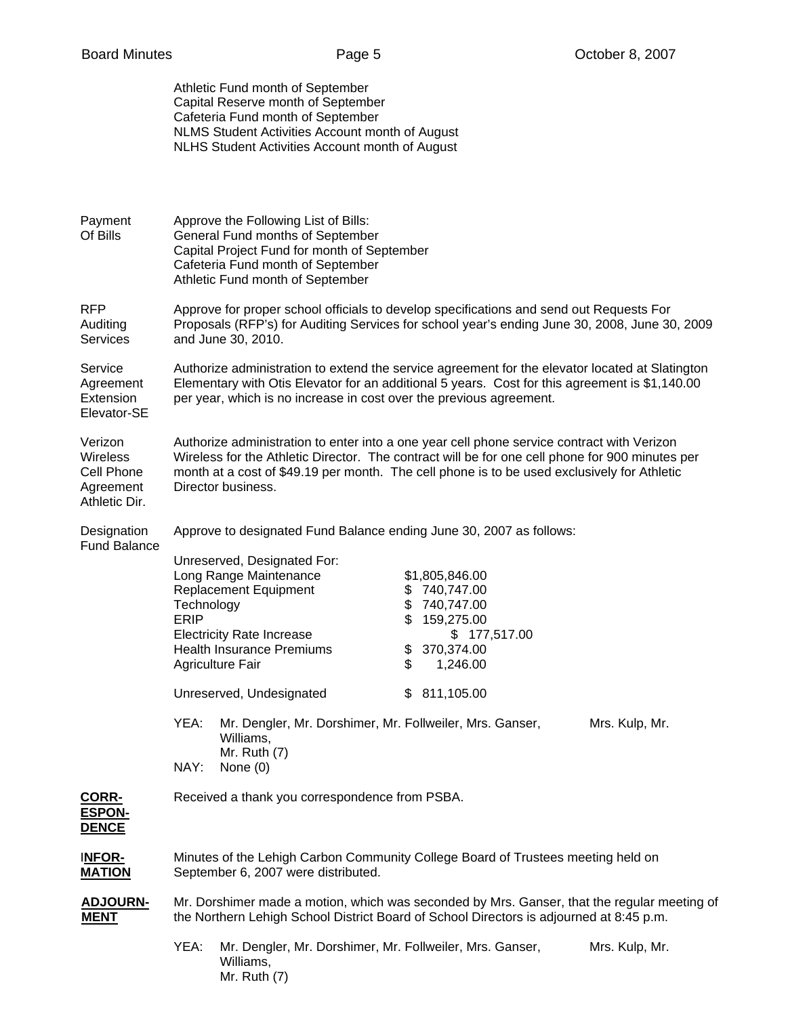|                                                                        |                                                                                                                                                                                                                                                                                                                    | Athletic Fund month of September<br>Capital Reserve month of September<br>Cafeteria Fund month of September<br>NLMS Student Activities Account month of August<br>NLHS Student Activities Account month of August                                                                                                                                                                           |                |    |                                                                                                                    |                |
|------------------------------------------------------------------------|--------------------------------------------------------------------------------------------------------------------------------------------------------------------------------------------------------------------------------------------------------------------------------------------------------------------|---------------------------------------------------------------------------------------------------------------------------------------------------------------------------------------------------------------------------------------------------------------------------------------------------------------------------------------------------------------------------------------------|----------------|----|--------------------------------------------------------------------------------------------------------------------|----------------|
| Payment<br>Of Bills                                                    | Approve the Following List of Bills:<br>General Fund months of September<br>Capital Project Fund for month of September<br>Cafeteria Fund month of September<br>Athletic Fund month of September                                                                                                                   |                                                                                                                                                                                                                                                                                                                                                                                             |                |    |                                                                                                                    |                |
| <b>RFP</b><br>Auditing<br><b>Services</b>                              | Approve for proper school officials to develop specifications and send out Requests For<br>Proposals (RFP's) for Auditing Services for school year's ending June 30, 2008, June 30, 2009<br>and June 30, 2010.                                                                                                     |                                                                                                                                                                                                                                                                                                                                                                                             |                |    |                                                                                                                    |                |
| Service<br>Agreement<br>Extension<br>Elevator-SE                       | Authorize administration to extend the service agreement for the elevator located at Slatington<br>Elementary with Otis Elevator for an additional 5 years. Cost for this agreement is \$1,140.00<br>per year, which is no increase in cost over the previous agreement.                                           |                                                                                                                                                                                                                                                                                                                                                                                             |                |    |                                                                                                                    |                |
| Verizon<br><b>Wireless</b><br>Cell Phone<br>Agreement<br>Athletic Dir. | Authorize administration to enter into a one year cell phone service contract with Verizon<br>Wireless for the Athletic Director. The contract will be for one cell phone for 900 minutes per<br>month at a cost of \$49.19 per month. The cell phone is to be used exclusively for Athletic<br>Director business. |                                                                                                                                                                                                                                                                                                                                                                                             |                |    |                                                                                                                    |                |
| Designation<br><b>Fund Balance</b>                                     | Technology<br><b>ERIP</b><br>YEA:<br>NAY:                                                                                                                                                                                                                                                                          | Approve to designated Fund Balance ending June 30, 2007 as follows:<br>Unreserved, Designated For:<br>Long Range Maintenance<br><b>Replacement Equipment</b><br><b>Electricity Rate Increase</b><br><b>Health Insurance Premiums</b><br>Agriculture Fair<br>Unreserved, Undesignated<br>Mr. Dengler, Mr. Dorshimer, Mr. Follweiler, Mrs. Ganser,<br>Williams,<br>Mr. Ruth (7)<br>None $(0)$ | \$<br>\$<br>\$ | \$ | \$1,805,846.00<br>740,747.00<br>740,747.00<br>159,275.00<br>\$177,517.00<br>370,374.00<br>1,246.00<br>\$811,105.00 | Mrs. Kulp, Mr. |
| CORR-<br><b>ESPON-</b><br><b>DENCE</b>                                 | Received a thank you correspondence from PSBA.                                                                                                                                                                                                                                                                     |                                                                                                                                                                                                                                                                                                                                                                                             |                |    |                                                                                                                    |                |
| INFOR-<br><b>MATION</b>                                                | Minutes of the Lehigh Carbon Community College Board of Trustees meeting held on<br>September 6, 2007 were distributed.                                                                                                                                                                                            |                                                                                                                                                                                                                                                                                                                                                                                             |                |    |                                                                                                                    |                |
| <b>ADJOURN-</b><br><b>MENT</b>                                         | Mr. Dorshimer made a motion, which was seconded by Mrs. Ganser, that the regular meeting of<br>the Northern Lehigh School District Board of School Directors is adjourned at 8:45 p.m.                                                                                                                             |                                                                                                                                                                                                                                                                                                                                                                                             |                |    |                                                                                                                    |                |
|                                                                        | YEA:                                                                                                                                                                                                                                                                                                               | Mr. Dengler, Mr. Dorshimer, Mr. Follweiler, Mrs. Ganser,<br>Williams,<br>Mr. Ruth (7)                                                                                                                                                                                                                                                                                                       |                |    |                                                                                                                    | Mrs. Kulp, Mr. |